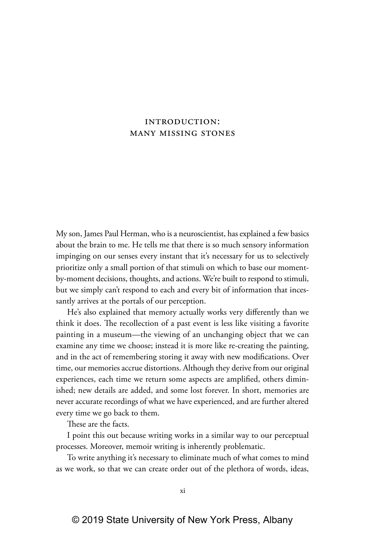## introduction: many missing stones

My son, James Paul Herman, who is a neuroscientist, has explained a few basics about the brain to me. He tells me that there is so much sensory information impinging on our senses every instant that it's necessary for us to selectively prioritize only a small portion of that stimuli on which to base our momentby-moment decisions, thoughts, and actions. We're built to respond to stimuli, but we simply can't respond to each and every bit of information that incessantly arrives at the portals of our perception.

He's also explained that memory actually works very differently than we think it does. The recollection of a past event is less like visiting a favorite painting in a museum—the viewing of an unchanging object that we can examine any time we choose; instead it is more like re-creating the painting, and in the act of remembering storing it away with new modifications. Over time, our memories accrue distortions. Although they derive from our original experiences, each time we return some aspects are amplified, others diminished; new details are added, and some lost forever. In short, memories are never accurate recordings of what we have experienced, and are further altered every time we go back to them.

These are the facts.

I point this out because writing works in a similar way to our perceptual processes. Moreover, memoir writing is inherently problematic.

To write anything it's necessary to eliminate much of what comes to mind as we work, so that we can create order out of the plethora of words, ideas,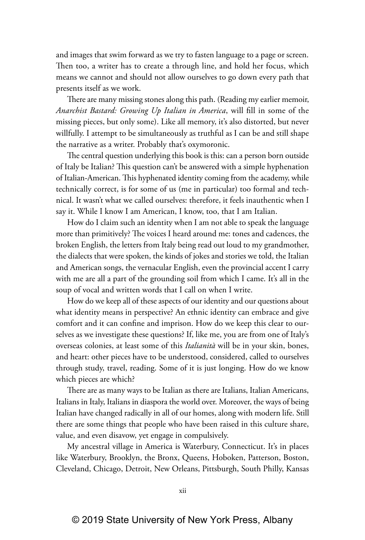and images that swim forward as we try to fasten language to a page or screen. Then too, a writer has to create a through line, and hold her focus, which means we cannot and should not allow ourselves to go down every path that presents itself as we work.

There are many missing stones along this path. (Reading my earlier memoir, *Anarchist Bastard: Growing Up Italian in America*, will fill in some of the missing pieces, but only some). Like all memory, it's also distorted, but never willfully. I attempt to be simultaneously as truthful as I can be and still shape the narrative as a writer. Probably that's oxymoronic.

The central question underlying this book is this: can a person born outside of Italy be Italian? This question can't be answered with a simple hyphenation of Italian-American. This hyphenated identity coming from the academy, while technically correct, is for some of us (me in particular) too formal and technical. It wasn't what we called ourselves: therefore, it feels inauthentic when I say it. While I know I am American, I know, too, that I am Italian.

How do I claim such an identity when I am not able to speak the language more than primitively? The voices I heard around me: tones and cadences, the broken English, the letters from Italy being read out loud to my grandmother, the dialects that were spoken, the kinds of jokes and stories we told, the Italian and American songs, the vernacular English, even the provincial accent I carry with me are all a part of the grounding soil from which I came. It's all in the soup of vocal and written words that I call on when I write.

How do we keep all of these aspects of our identity and our questions about what identity means in perspective? An ethnic identity can embrace and give comfort and it can confine and imprison. How do we keep this clear to ourselves as we investigate these questions? If, like me, you are from one of Italy's overseas colonies, at least some of this *Italianità* will be in your skin, bones, and heart: other pieces have to be understood, considered, called to ourselves through study, travel, reading. Some of it is just longing. How do we know which pieces are which?

There are as many ways to be Italian as there are Italians, Italian Americans, Italians in Italy, Italians in diaspora the world over. Moreover, the ways of being Italian have changed radically in all of our homes, along with modern life. Still there are some things that people who have been raised in this culture share, value, and even disavow, yet engage in compulsively.

My ancestral village in America is Waterbury, Connecticut. It's in places like Waterbury, Brooklyn, the Bronx, Queens, Hoboken, Patterson, Boston, Cleveland, Chicago, Detroit, New Orleans, Pittsburgh, South Philly, Kansas